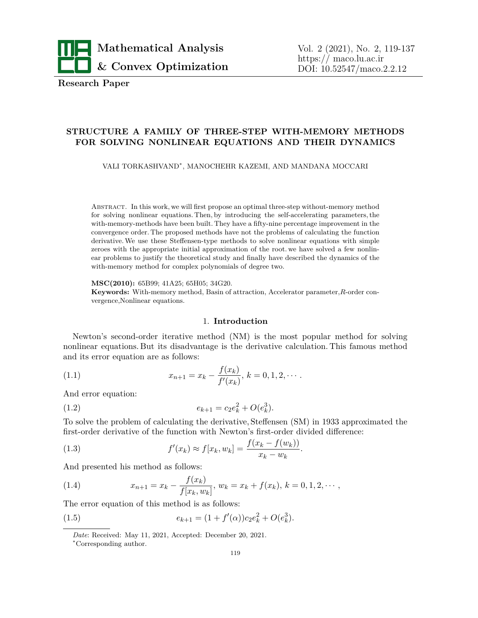

**Research Paper**

# **STRUCTURE A FAMILY OF THREE-STEP WITH-MEMORY METHODS FOR SOLVING NONLINEAR EQUATIONS AND THEIR DYNAMICS**

VALI TORKASHVAND*<sup>∗</sup>* , MANOCHEHR KAZEMI, AND MANDANA MOCCARI

Abstract. In this work, we will first propose an optimal three-step without-memory method for solving nonlinear equations. Then, by introducing the self-accelerating parameters, the with-memory-methods have been built. They have a fifty-nine percentage improvement in the convergence order. The proposed methods have not the problems of calculating the function derivative. We use these Steffensen-type methods to solve nonlinear equations with simple zeroes with the appropriate initial approximation of the root. we have solved a few nonlinear problems to justify the theoretical study and finally have described the dynamics of the with-memory method for complex polynomials of degree two.

**MSC(2010):** 65B99; 41A25; 65H05; 34G20.

**Keywords:** With-memory method, Basin of attraction, Accelerator parameter,*R*-order convergence,Nonlinear equations.

## <span id="page-0-0"></span>1. **Introduction**

Newton's second-order iterative method (NM) is the most popular method for solving nonlinear equations. But its disadvantage is the derivative calculation. This famous method and its error equation are as follows:

(1.1) 
$$
x_{n+1} = x_k - \frac{f(x_k)}{f'(x_k)}, \ k = 0, 1, 2, \cdots.
$$

And error equation:

(1.2) 
$$
e_{k+1} = c_2 e_k^2 + O(e_k^3).
$$

To solve the problem of calculating the derivative, Steffensen (SM) in 1933 approximated the first-order derivative of the function with Newton's first-order divided difference:

(1.3) 
$$
f'(x_k) \approx f[x_k, w_k] = \frac{f(x_k - f(w_k))}{x_k - w_k}.
$$

And presented his method as follows:

<span id="page-0-1"></span>(1.4) 
$$
x_{n+1} = x_k - \frac{f(x_k)}{f[x_k, w_k]}, \ w_k = x_k + f(x_k), \ k = 0, 1, 2, \cdots,
$$

The error equation of this method is as follows:

(1.5) 
$$
e_{k+1} = (1 + f'(\alpha))c_2e_k^2 + O(e_k^3).
$$

*Date*: Received: May 11, 2021, Accepted: December 20, 2021.

*<sup>∗</sup>*Corresponding author.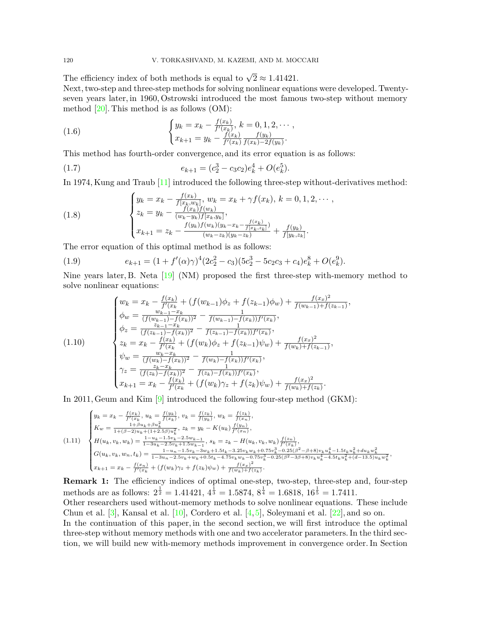The efficiency index of both methods is equal to  $\sqrt{2} \approx 1.41421$ .

Next, two-step and three-step methods for solving nonlinear equations were developed. Twentyseven years later, in 1960, Ostrowski introduced the most famous two-step without memory method  $[20]$  $[20]$ . This method is as follows  $(OM)$ :

(1.6) 
$$
\begin{cases} y_k = x_k - \frac{f(x_k)}{f'(x_k)}, k = 0, 1, 2, \cdots, \\ x_{k+1} = y_k - \frac{f(x_k)}{f'(x_k)} \frac{f(y_k)}{f(x_k) - 2f(y_k)}. \end{cases}
$$

This method has fourth-order convergence, and its error equation is as follows:

(1.7) 
$$
e_{k+1} = (c_2^3 - c_3c_2)e_k^4 + O(e_k^5).
$$

In 1974, Kung and Traub [[11\]](#page-17-1) introduced the following three-step without-derivatives method:

<span id="page-1-0"></span>(1.8) 
$$
\begin{cases} y_k = x_k - \frac{f(x_k)}{f(x_k, w_k]}, w_k = x_k + \gamma f(x_k), k = 0, 1, 2, \cdots, \\ z_k = y_k - \frac{f(x_k)f(w_k)}{(w_k - y_k)f(x_k, y_k)}, \\ x_{k+1} = z_k - \frac{f(y_k)f(w_k)(y_k - x_k - \frac{f(x_k)}{f(x_k, z_k)})}{(w_k - z_k)(y_k - z_k)} + \frac{f(y_k)}{f(y_k, z_k)}. \end{cases}
$$

The error equation of this optimal method is as follows:

(1.9) 
$$
e_{k+1} = (1 + f'(\alpha)\gamma)^4 (2c_2^2 - c_3)(5c_2^3 - 5c_2c_3 + c_4)e_k^8 + O(e_k^9).
$$

Nine years later, B. Neta [[19\]](#page-17-2) (NM) proposed the first three-step with-memory method to solve nonlinear equations:

$$
(1.10)
$$
\n
$$
\begin{cases}\nw_k = x_k - \frac{f(x_k)}{f'(x_k)} + (f(w_{k-1})\phi_z + f(z_{k-1})\phi_w) + \frac{f(x_x)^2}{f(w_{k-1}) + f(z_{k-1})}, \\
\phi_w = \frac{w_{k-1} - x_k}{(f(w_{k-1}) - f(x_k))^2} - \frac{1}{f(w_{k-1}) - f(x_k)f'(x_k)}, \\
\phi_z = \frac{z_{k-1} - x_k}{(f(z_{k-1}) - f(x_k))^2} - \frac{1}{f(z_{k-1}) - f(x_k)f'(x_k)}, \\
z_k = x_k - \frac{f(x_k)}{f'(x_k)} + (f(w_k)\phi_z + f(z_{k-1})\psi_w) + \frac{f(x_x)^2}{f(w_k) + f(z_{k-1})}, \\
\psi_w = \frac{w_k - x_k}{(f(w_k) - f(x_k))^2} - \frac{1}{f(w_k) - f(x_k)f'(x_k)}, \\
\gamma_z = \frac{z_k - x_k}{(f(z_k) - f(x_k))^2} - \frac{1}{f(z_k) - f(x_k)f'(x_k)}, \\
x_{k+1} = x_k - \frac{f(x_k)}{f'(x_k)} + (f(w_k)\gamma_z + f(z_k)\psi_w) + \frac{f(x_x)^2}{f(w_k) + f(z_k)}. \n\end{cases}
$$

In 2011, Geum and Kim[[9](#page-17-3)] introduced the following four-step method (GKM):

$$
(1.11)
$$
\n
$$
\begin{cases}\ny_k = x_k - \frac{f(x_k)}{f'(x_k)}, u_k = \frac{f(y_k)}{f(x_k)}, v_k = \frac{f(z_k)}{f(y_k)}, w_k = \frac{f(z_k)}{f(x_n)}, \\
K_w = \frac{1 + \beta u_k + \beta u_k^2}{1 + (\beta - 2)u_k + (1 + 2.5\beta)u_k^2}, z_k = y_k - K(u_k)\frac{f(y_n)}{f'(x_n)}, \\
H(u_k, v_k, w_k) = \frac{1 - u_k - 1.5v_k - 2.5w_{k-1}}{1 - 3u_k - 2.5v_k + 1.5w_{k-1}}, s_k = z_k - H(u_k, v_k, w_k)\frac{f(z_n)}{f'(x_k)}, \\
G(u_k, v_k, w_n, t_k) = \frac{1 - u_n - 1.5v_k - 3w_k + 1.5t_k - 3.25v_k w_k + 0.75v_k^3 - 0.25(\beta^2 - \beta + 8)v_k u_k^4 - 1.5t_k u_k^2 + du_k w_k^2}{1 - 3u_n - 2.5v_k + w_k + 0.5t_k - 4.75v_k w_k - 0.75v_k^3 - 0.25(\beta^2 - \beta + 8)v_k u_k^4 - 4.5t_k u_k^2 + (d - 13.5)u_k w_k^2}, \\
x_{k+1} = x_k - \frac{f(x_n)}{f'(x_k)} + (f(w_k)\gamma_z + f(z_k)\psi_w) + \frac{f(x_x)^2}{f(w_k) + f(z_k)}.\n\end{cases}
$$

**Remark 1:** The efficiency indices of optimal one-step, two-step, three-step and, four-step methods are as follows:  $2^{\frac{1}{2}} = 1.41421, 4^{\frac{1}{3}} = 1.5874, 8^{\frac{1}{4}} = 1.6818, 16^{\frac{1}{5}} = 1.7411.$ 

Other researchers used without-memory methods to solve nonlinear equations. These include Chun et al.  $[3]$ , Kansal et al.  $[10]$  $[10]$ , Cordero et al.  $[4,5]$  $[4,5]$ , Soleymani et al.  $[22]$  $[22]$  $[22]$ , and so on. In the continuation of this paper, in the second section, we will first introduce the optimal three-step without memory methods with one and two accelerator parameters. In the third section, we will build new with-memory methods improvement in convergence order. In Section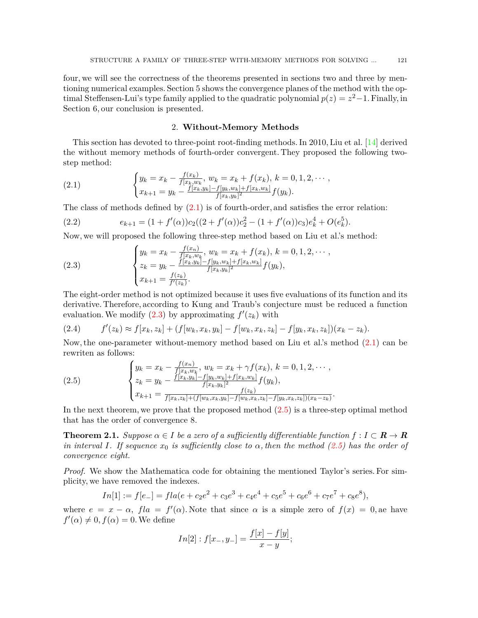four, we will see the correctness of the theorems presented in sections two and three by mentioning numerical examples. Section 5 shows the convergence planes of the method with the optimal Steffensen-Lui's type family applied to the quadratic polynomial  $p(z) = z^2 - 1$ . Finally, in Section 6, our conclusion is presented.

#### <span id="page-2-0"></span>2. **Without-Memory Methods**

This section has devoted to three-point root-finding methods. In 2010, Liu et al. [[14\]](#page-17-8) derived the without memory methods of fourth-order convergent. They proposed the following twostep method:

(2.1) 
$$
\begin{cases} y_k = x_k - \frac{f(x_k)}{f(x_k, w_k)}, w_k = x_k + f(x_k), k = 0, 1, 2, \cdots, \\ x_{k+1} = y_k - \frac{f(x_k, y_k) - f(y_k, w_k) + f(x_k, w_k)}{f(x_k, y_k)^2} f(y_k). \end{cases}
$$

The class of methods defined by  $(2.1)$  $(2.1)$  is of fourth-order, and satisfies the error relation:

(2.2) 
$$
e_{k+1} = (1 + f'(\alpha))c_2((2 + f'(\alpha))c_2^2 - (1 + f'(\alpha))c_3)e_k^4 + O(e_k^5).
$$

Now, we will proposed the following three-step method based on Liu et al.'s method:

<span id="page-2-1"></span>(2.3) 
$$
\begin{cases} y_k = x_k - \frac{f(x_n)}{f[x_k, w_k]}, w_k = x_k + f(x_k), k = 0, 1, 2, \cdots, \\ z_k = y_k - \frac{f[x_k, y_k] - f[y_k, w_k] + f[x_k, w_k]}{f[x_k, y_k]^2} f(y_k), \\ x_{k+1} = \frac{f(z_k)}{f'(z_k)}. \end{cases}
$$

The eight-order method is not optimized because it uses five evaluations of its function and its derivative. Therefore, according to Kung and Traub's conjecture must be reduced a function evaluation. We modify  $(2.3)$  $(2.3)$  by approximating  $f'(z_k)$  with

$$
(2.4) \t f'(z_k) \approx f[x_k, z_k] + (f[w_k, x_k, y_k] - f[w_k, x_k, z_k] - f[y_k, x_k, z_k])(x_k - z_k).
$$

Now, the one-parameter without-memory method based on Liu et al.'s method [\(2.1\)](#page-2-0) can be rewriten as follows:

<span id="page-2-2"></span>(2.5) 
$$
\begin{cases} y_k = x_k - \frac{f(x_n)}{f[x_k, w_k]}, w_k = x_k + \gamma f(x_k), k = 0, 1, 2, \cdots, \\ z_k = y_k - \frac{f[x_k, y_k] - f[y_k, w_k] + f[x_k, w_k]}{f[x_k, y_k]^2} f(y_k), \\ x_{k+1} = \frac{f(x_k, z_k) + (f[w_k, x_k, y_k] - f[w_k, x_k, z_k] - f[y_k, x_k, z_k])(x_k - z_k)}{f(x_k, x_k, y_k) - f[w_k, x_k, z_k] - f[y_k, x_k, z_k])(x_k - z_k)}. \end{cases}
$$

In the next theorem, we prove that the proposed method  $(2.5)$  $(2.5)$  $(2.5)$  is a three-step optimal method that has the order of convergence 8.

<span id="page-2-3"></span>**Theorem 2.1.** *Suppose*  $\alpha \in I$  *be a zero of a sufficiently differentiable function*  $f : I \subset \mathbb{R} \to \mathbb{R}$ *in interval I. If sequence*  $x_0$  *is sufficiently close to*  $\alpha$ *, then the method ([2.5](#page-2-2)) has the order of convergence eight.*

*Proof.* We show the Mathematica code for obtaining the mentioned Taylor's series. For simplicity, we have removed the indexes.

$$
In[1] := f[e_{-}] = fla(e + c_{2}e^{2} + c_{3}e^{3} + c_{4}e^{4} + c_{5}e^{5} + c_{6}e^{6} + c_{7}e^{7} + c_{8}e^{8}),
$$

where  $e = x - \alpha$ ,  $f/a = f'(\alpha)$ . Note that since  $\alpha$  is a simple zero of  $f(x) = 0$ , ae have  $f'(\alpha) \neq 0, f(\alpha) = 0$ . We define

$$
In[2]: f[x_-, y_-] = \frac{f[x] - f[y]}{x - y};
$$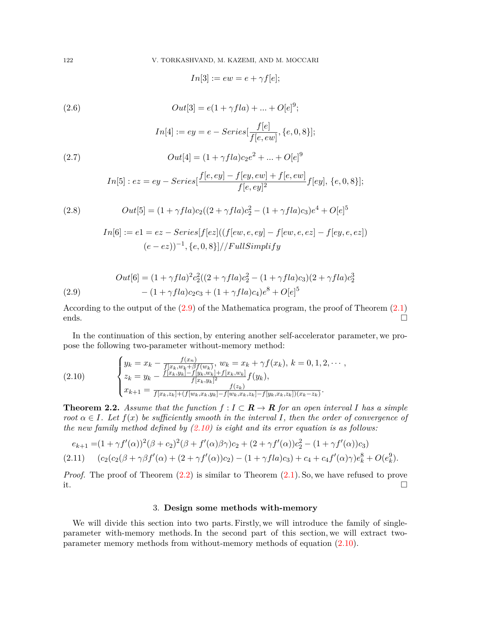$$
In[3]:=ew=e+\gamma f[e];
$$

<span id="page-3-3"></span>(2.6) 
$$
Out[3] = e(1 + \gamma f l a) + ... + O[e]^9;
$$

$$
In[4] := ey = e - Series[\frac{f[e]}{f[e, ew]}, \{e, 0, 8\}];
$$

<span id="page-3-4"></span>(2.7) 
$$
Out[4] = (1 + \gamma f l a) c_2 e^2 + ... + O[e]^9
$$

$$
In [5]: ez=ey-Series[\frac{f[e,ey]-f[ey,ew]+f[e,ew]}{f[e,ey]^2}f[ey],\,\{e,0,8\}];
$$

<span id="page-3-5"></span>(2.8) 
$$
Out[5] = (1 + \gamma f l a) c_2 ((2 + \gamma f l a) c_2^2 - (1 + \gamma f l a) c_3) e^4 + O[e]^5
$$

$$
In[6] := e1 = ez - Series[f[ez]((f[ew, e, ey] - f[ew, e, ez] - f[ey, e, ez])(e - ez))^{-1}, \{e, 0, 8\} // FullSimplify
$$

<span id="page-3-0"></span>(2.9) 
$$
Out[6] = (1 + \gamma f l a)^2 c_2^2 ((2 + \gamma f l a) c_2^2 - (1 + \gamma f l a) c_3)(2 + \gamma f l a) c_2^3 - (1 + \gamma f l a) c_2 c_3 + (1 + \gamma f l a) c_4) e^8 + O[e]^{5}
$$

According to the output of the ([2.9](#page-3-0)) of the Mathematica program, the proof of Theorem ([2.1\)](#page-2-3) ends.  $\Box$ 

In the continuation of this section, by entering another self-accelerator parameter, we propose the following two-parameter without-memory method:

<span id="page-3-1"></span>(2.10) 
$$
\begin{cases} y_k = x_k - \frac{f(x_n)}{f[x_k, w_k + \beta f(w_k)]}, w_k = x_k + \gamma f(x_k), k = 0, 1, 2, \cdots, \\ z_k = y_k - \frac{f[x_k, y_k] - f[y_k, w_k] + f[x_k, w_k]}{f[x_k, y_k]^2} f(y_k), \\ x_{k+1} = \frac{f(x_k, z_k] + (f[w_k, x_k, y_k] - f[w_k, x_k, z_k] - f[y_k, x_k, z_k])(x_k - z_k)}{f(x_k, z_k) + (f[w_k, x_k, y_k] - f[w_k, x_k, z_k] - f[y_k, x_k, z_k])(x_k - z_k)}. \end{cases}
$$

<span id="page-3-2"></span>**Theorem 2.2.** Assume that the function  $f: I \subset \mathbb{R} \to \mathbb{R}$  for an open interval *I* has a simple *root*  $\alpha \in I$ *. Let*  $f(x)$  *be sufficiently smooth in the interval I, then the order of convergence of the new family method defined by ([2.10\)](#page-3-1) is eight and its error equation is as follows:*

$$
e_{k+1} = (1 + \gamma f'(\alpha))^2 (\beta + c_2)^2 (\beta + f'(\alpha)\beta\gamma)c_2 + (2 + \gamma f'(\alpha))c_2^2 - (1 + \gamma f'(\alpha))c_3)
$$

<span id="page-3-6"></span>
$$
(2.11) \qquad (c_2(c_2(\beta + \gamma \beta f'(\alpha) + (2 + \gamma f'(\alpha))c_2) - (1 + \gamma f l a)c_3) + c_4 + c_4 f'(\alpha)\gamma)e_k^8 + O(e_k^9).
$$

*Proof.* The proof of Theorem  $(2.2)$  $(2.2)$  is similar to Theorem  $(2.1)$  $(2.1)$ . So, we have refused to prove it.  $\square$ 

## 3. **Design some methods with-memory**

We will divide this section into two parts. Firstly, we will introduce the family of singleparameter with-memory methods. In the second part of this section, we will extract twoparameter memory methods from without-memory methods of equation [\(2.10](#page-3-1)).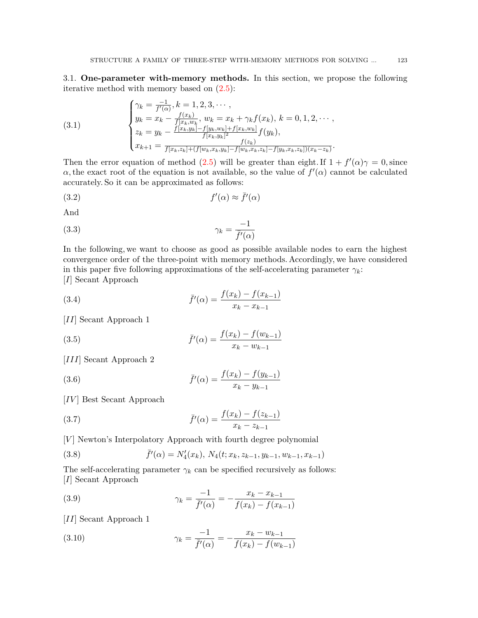3.1. **One-parameter with-memory methods.** In this section, we propose the following iterative method with memory based on ([2.5](#page-2-2)):

<span id="page-4-0"></span>(3.1) 
$$
\begin{cases} \gamma_k = \frac{-1}{f'(\alpha)}, k = 1, 2, 3, \cdots, \\ y_k = x_k - \frac{f(x_k)}{f(x_k, w_k)}, w_k = x_k + \gamma_k f(x_k), k = 0, 1, 2, \cdots, \\ z_k = y_k - \frac{f(x_k, y_k] - f[y_k, w_k] + f[x_k, w_k]}{f(x_k, y_k)^2} f(y_k), \\ x_{k+1} = \frac{f(x_k, z_k) + (f[w_k, x_k, y_k] - f[w_k, x_k, z_k] - f[y_k, x_k, z_k])(x_k - z_k)}{f(x_k, y_k) - f[w_k, x_k, z_k] - f[y_k, x_k, z_k])(x_k - z_k)}. \end{cases}
$$

Then the error equation of method [\(2.5](#page-2-2)) will be greater than eight. If  $1 + f'(\alpha)\gamma = 0$ , since *α*, the exact root of the equation is not available, so the value of  $f'(\alpha)$  cannot be calculated accurately. So it can be approximated as follows:

$$
(3.2) \t\t f'(\alpha) \approx \bar{f}'(\alpha)
$$

And

$$
\gamma_k = \frac{-1}{\bar{f}'(\alpha)}
$$

In the following, we want to choose as good as possible available nodes to earn the highest convergence order of the three-point with memory methods. Accordingly, we have considered in this paper five following approximations of the self-accelerating parameter  $\gamma_k$ : [*I*] Secant Approach

(3.4) 
$$
\bar{f}'(\alpha) = \frac{f(x_k) - f(x_{k-1})}{x_k - x_{k-1}}
$$

[*II*] Secant Approach 1

(3.5) 
$$
\bar{f}'(\alpha) = \frac{f(x_k) - f(w_{k-1})}{x_k - w_{k-1}}
$$

[*III*] Secant Approach 2

(3.6) 
$$
\bar{f}'(\alpha) = \frac{f(x_k) - f(y_{k-1})}{x_k - y_{k-1}}
$$

[*IV* ] Best Secant Approach

(3.7) 
$$
\bar{f}'(\alpha) = \frac{f(x_k) - f(z_{k-1})}{x_k - z_{k-1}}
$$

[*V*] Newton's Interpolatory Approach with fourth degree polynomial

(3.8) 
$$
\bar{f}'(\alpha) = N_4'(x_k), N_4(t; x_k, z_{k-1}, y_{k-1}, w_{k-1}, x_{k-1})
$$

The self-accelerating parameter  $\gamma_k$  can be specified recursively as follows: [*I*] Secant Approach

<span id="page-4-1"></span>(3.9) 
$$
\gamma_k = \frac{-1}{\bar{f}'(\alpha)} = -\frac{x_k - x_{k-1}}{f(x_k) - f(x_{k-1})}
$$

[*II*] Secant Approach 1

<span id="page-4-2"></span>(3.10) 
$$
\gamma_k = \frac{-1}{\bar{f}'(\alpha)} = -\frac{x_k - w_{k-1}}{f(x_k) - f(w_{k-1})}
$$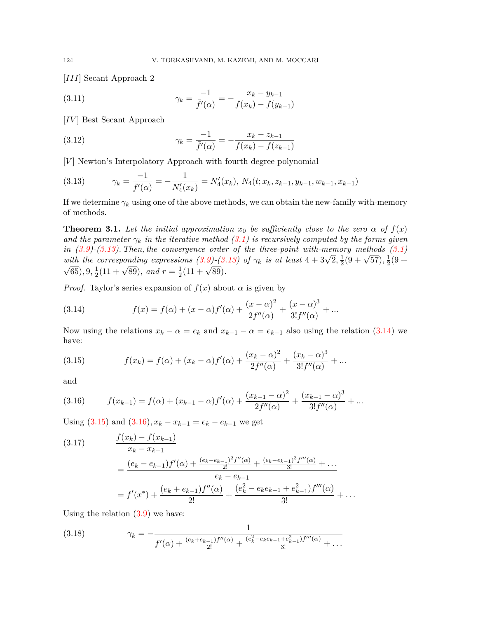[*III*] Secant Approach 2

<span id="page-5-5"></span>(3.11) 
$$
\gamma_k = \frac{-1}{\bar{f}'(\alpha)} = -\frac{x_k - y_{k-1}}{f(x_k) - f(y_{k-1})}
$$

[*IV*] Best Secant Approach

<span id="page-5-7"></span>(3.12) 
$$
\gamma_k = \frac{-1}{\bar{f}'(\alpha)} = -\frac{x_k - z_{k-1}}{f(x_k) - f(z_{k-1})}
$$

[*V*] Newton's Interpolatory Approach with fourth degree polynomial

<span id="page-5-0"></span>(3.13) 
$$
\gamma_k = \frac{-1}{\bar{f}'(\alpha)} = -\frac{1}{N'_4(x_k)} = N'_4(x_k), N_4(t; x_k, z_{k-1}, y_{k-1}, w_{k-1}, x_{k-1})
$$

If we determine  $\gamma_k$  using one of the above methods, we can obtain the new-family with-memory of methods.

<span id="page-5-6"></span>**Theorem 3.1.** Let the initial approximation  $x_0$  be sufficiently close to the zero  $\alpha$  of  $f(x)$ *and the parameter*  $\gamma_k$  *in the iterative method [\(3.1\)](#page-4-0) is recursively computed by the forms given in [\(3.9\)](#page-4-1)-([3.13\)](#page-5-0). Then, the convergence order of the three-point with-memory methods [\(3.1\)](#page-4-0) with the corresponding expressions*  $(3.9)$ *<sup>2</sup>* $(3.13)$  *<i>of*  $\gamma_k$  *is at least*  $4 + 3\sqrt{2}, \frac{1}{2}$  $\frac{1}{2}(9+\sqrt{57}), \frac{1}{2}$ with the corresponding expressions  $(3.9)-(3.13)$  of  $\gamma_k$  is at least  $4+3\sqrt{2}, \frac{1}{2}(9+\sqrt{57}), \frac{1}{2}(9+\sqrt{57}))$  $\overline{65}$  $), 9, \frac{1}{2}$  $\frac{1}{2}(11 + \sqrt{89})$ *, and*  $r = \frac{1}{2}$  $\frac{1}{2}(11+\sqrt{89}).$ 

*Proof.* Taylor's series expansion of  $f(x)$  about  $\alpha$  is given by

<span id="page-5-1"></span>(3.14) 
$$
f(x) = f(\alpha) + (x - \alpha)f'(\alpha) + \frac{(x - \alpha)^2}{2f''(\alpha)} + \frac{(x - \alpha)^3}{3!f''(\alpha)} + \dots
$$

Now using the relations  $x_k - \alpha = e_k$  and  $x_{k-1} - \alpha = e_{k-1}$  also using the relation ([3.14](#page-5-1)) we have:

<span id="page-5-2"></span>(3.15) 
$$
f(x_k) = f(\alpha) + (x_k - \alpha)f'(\alpha) + \frac{(x_k - \alpha)^2}{2f''(\alpha)} + \frac{(x_k - \alpha)^3}{3!f''(\alpha)} + \dots
$$

and

<span id="page-5-3"></span>(3.16) 
$$
f(x_{k-1}) = f(\alpha) + (x_{k-1} - \alpha)f'(\alpha) + \frac{(x_{k-1} - \alpha)^2}{2f''(\alpha)} + \frac{(x_{k-1} - \alpha)^3}{3!f''(\alpha)} + \dots
$$

Using  $(3.15)$  $(3.15)$  $(3.15)$  and  $(3.16)$  $(3.16)$  $(3.16)$ ,  $x_k - x_{k-1} = e_k - e_{k-1}$  we get

(3.17) 
$$
\frac{f(x_k) - f(x_{k-1})}{x_k - x_{k-1}} = \frac{(e_k - e_{k-1})f'(\alpha) + \frac{(e_k - e_{k-1})^2 f''(\alpha)}{2!} + \frac{(e_k - e_{k-1})^3 f'''(\alpha)}{3!} + \dots}{e_k - e_{k-1}} = f'(x^*) + \frac{(e_k + e_{k-1})f''(\alpha)}{2!} + \frac{(e_k^2 - e_k e_{k-1} + e_{k-1}^2)f'''(\alpha)}{3!} + \dots
$$

Using the relation  $(3.9)$  $(3.9)$  we have:

<span id="page-5-4"></span>(3.18) 
$$
\gamma_k = -\frac{1}{f'(\alpha) + \frac{(e_k + e_{k-1})f''(\alpha)}{2!} + \frac{(e_k^2 - e_k e_{k-1} + e_{k-1}^2)f'''(\alpha)}{3!} + \dots}
$$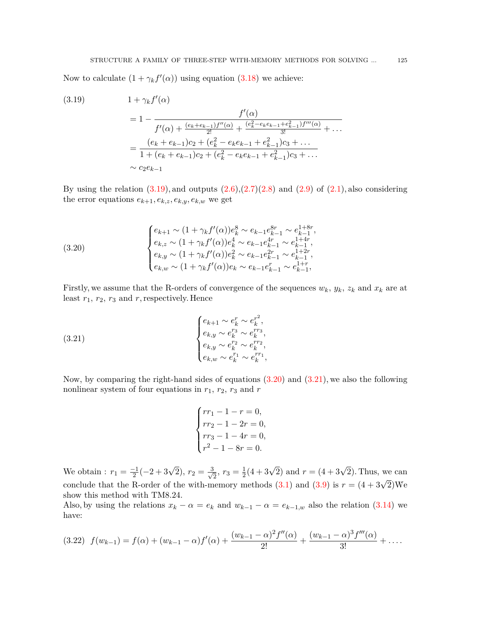Now to calculate  $(1 + \gamma_k f'(\alpha))$  using equation [\(3.18\)](#page-5-4) we achieve:

<span id="page-6-0"></span>
$$
(3.19) \t 1 + \gamma_k f'(\alpha)
$$
  
= 1 - 
$$
f'(\alpha)
$$
  
= 
$$
1 - \frac{f'(\alpha)}{f'(\alpha) + \frac{(e_k + e_{k-1})f''(\alpha)}{2!} + \frac{(e_k^2 - e_k e_{k-1} + e_{k-1}^2)f'''(\alpha)}{3!} + \dots}
$$
  
= 
$$
\frac{(e_k + e_{k-1})c_2 + (e_k^2 - e_k e_{k-1} + e_{k-1}^2)c_3 + \dots}{1 + (e_k + e_{k-1})c_2 + (e_k^2 - e_k e_{k-1} + e_{k-1}^2)c_3 + \dots}
$$
  

$$
\sim c_2 e_{k-1}
$$

By using the relation  $(3.19)$  $(3.19)$ , and outputs  $(2.6),(2.7)(2.8)$  $(2.6),(2.7)(2.8)$  $(2.6),(2.7)(2.8)$  $(2.6),(2.7)(2.8)$  and  $(2.9)$  $(2.9)$  of  $(2.1)$  $(2.1)$ , also considering the error equations  $e_{k+1}, e_{k,z}, e_{k,y}, e_{k,w}$  we get

<span id="page-6-1"></span>(3.20) 
$$
\begin{cases} e_{k+1} \sim (1 + \gamma_k f'(\alpha)) e_k^8 \sim e_{k-1} e_{k-1}^{8r} \sim e_{k-1}^{1+8r}, \\ e_{k,z} \sim (1 + \gamma_k f'(\alpha)) e_k^4 \sim e_{k-1} e_{k-1}^{4r} \sim e_{k-1}^{1+4r}, \\ e_{k,y} \sim (1 + \gamma_k f'(\alpha)) e_k^2 \sim e_{k-1} e_{k-1}^{2r} \sim e_{k-1}^{1+2r}, \\ e_{k,w} \sim (1 + \gamma_k f'(\alpha)) e_k \sim e_{k-1} e_{k-1}^r \sim e_{k-1}^{1+r}, \end{cases}
$$

Firstly, we assume that the R-orders of convergence of the sequences  $w_k$ *,*  $y_k$ *,*  $z_k$  and  $x_k$  are at least *r*1*, r*2*, r*<sup>3</sup> and *r*, respectively. Hence

(3.21) 
$$
\begin{cases} e_{k+1} \sim e_k^r \sim e_k^{r^2}, \\ e_{k,y} \sim e_k^{r_3} \sim e_k^{rr_3}, \\ e_{k,y} \sim e_k^{r_2} \sim e_k^{r_2}, \\ e_{k,w} \sim e_k^{r_1} \sim e_k^{r_1}, \end{cases}
$$

Now, by comparing the right-hand sides of equations ([3.20\)](#page-6-1) and [\(3.21\)](#page-6-2), we also the following nonlinear system of four equations in  $r_1$ ,  $r_2$ ,  $r_3$  and  $r$ 

<span id="page-6-2"></span>
$$
\begin{cases}\nrr_1 - 1 - r = 0, \\
rr_2 - 1 - 2r = 0, \\
rr_3 - 1 - 4r = 0, \\
r^2 - 1 - 8r = 0.\n\end{cases}
$$

We obtain :  $r_1 = \frac{-1}{2}(-2 + 3\sqrt{2}), r_2 = \frac{3}{\sqrt{2}}$  $\frac{1}{2}$ ,  $r_3 = \frac{1}{2}$  $\frac{1}{2}(4+3\sqrt{2})$  and  $r = (4+3\sqrt{2})$ . Thus, we can conclude that the R-order of the with-memory methods ([3.1\)](#page-4-0) and ([3.9](#page-4-1)) is  $r = (4 + 3\sqrt{2})\text{We}$ show this method with TM8.24.

Also, by using the relations  $x_k - \alpha = e_k$  and  $w_{k-1} - \alpha = e_{k-1,w}$  also the relation ([3.14](#page-5-1)) we have:

<span id="page-6-3"></span>
$$
(3.22) \ f(w_{k-1}) = f(\alpha) + (w_{k-1} - \alpha)f'(\alpha) + \frac{(w_{k-1} - \alpha)^2 f''(\alpha)}{2!} + \frac{(w_{k-1} - \alpha)^3 f'''(\alpha)}{3!} + \dots
$$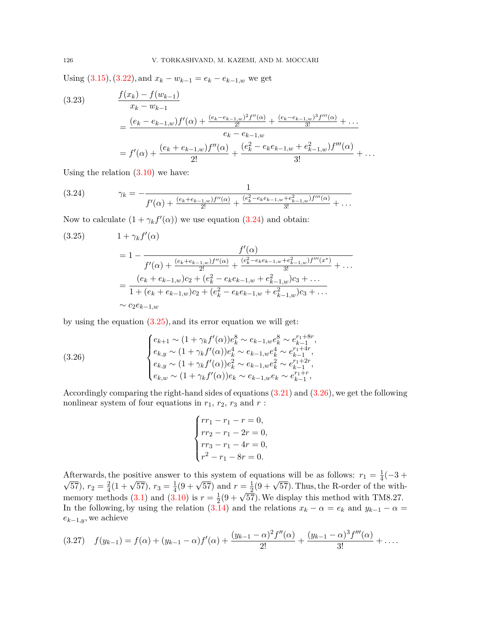Using  $(3.15), (3.22),$  $(3.15), (3.22),$  $(3.15), (3.22),$  $(3.15), (3.22),$  $(3.15), (3.22),$  and  $x_k - w_{k-1} = e_k - e_{k-1,w}$  we get

(3.23) 
$$
\frac{f(x_k) - f(w_{k-1})}{x_k - w_{k-1}} = \frac{(e_k - e_{k-1,w})f'(\alpha) + \frac{(e_k - e_{k-1,w})^2 f''(\alpha)}{2!} + \frac{(e_k - e_{k-1,w})^3 f'''(\alpha)}{3!} + \dots}{e_k - e_{k-1,w}}
$$

$$
= f'(\alpha) + \frac{(e_k + e_{k-1,w})f''(\alpha)}{2!} + \frac{(e_k^2 - e_k e_{k-1,w} + e_{k-1,w}^2)f'''(\alpha)}{3!} + \dots
$$

Using the relation  $(3.10)$  $(3.10)$  $(3.10)$  we have:

<span id="page-7-0"></span>(3.24) 
$$
\gamma_k = -\frac{1}{f'(\alpha) + \frac{(e_k + e_{k-1,w})f''(\alpha)}{2!} + \frac{(e_k^2 - e_k e_{k-1,w} + e_{k-1,w}^2)f'''(\alpha)}{3!} + \dots}
$$

Now to calculate  $(1 + \gamma_k f'(\alpha))$  we use equation ([3.24](#page-7-0)) and obtain:

<span id="page-7-1"></span>
$$
(3.25) \t 1 + \gamma_k f'(\alpha)
$$
  
= 1 - 
$$
\frac{f'(\alpha)}{f'(\alpha) + \frac{(e_k + e_{k-1,w})f''(\alpha)}{2!} + \frac{(e_k^2 - e_k e_{k-1,w} + e_{k-1,w}^2)f'''(x^*)}{3!} + \dots}
$$
  
= 
$$
\frac{(e_k + e_{k-1,w})c_2 + (e_k^2 - e_k e_{k-1,w} + e_{k-1,w}^2)c_3 + \dots}{1 + (e_k + e_{k-1,w})c_2 + (e_k^2 - e_k e_{k-1,w} + e_{k-1,w}^2)c_3 + \dots}
$$
  

$$
\sim c_2 e_{k-1,w}
$$

by using the equation  $(3.25)$ , and its error equation we will get:

<span id="page-7-2"></span>(3.26) 
$$
\begin{cases} e_{k+1} \sim (1 + \gamma_k f'(\alpha)) e_k^8 \sim e_{k-1,w} e_k^8 \sim e_{k-1}^{r_1+8r}, \\ e_{k,y} \sim (1 + \gamma_k f'(\alpha)) e_k^4 \sim e_{k-1,w} e_k^4 \sim e_{k-1}^{r_1+4r}, \\ e_{k,y} \sim (1 + \gamma_k f'(\alpha)) e_k^2 \sim e_{k-1,w} e_k^2 \sim e_{k-1}^{r_1+2r}, \\ e_{k,w} \sim (1 + \gamma_k f'(\alpha)) e_k \sim e_{k-1,w} e_k \sim e_{k-1}^{r_1+r}, \end{cases}
$$

Accordingly comparing the right-hand sides of equations ([3.21](#page-6-2)) and [\(3.26\)](#page-7-2), we get the following nonlinear system of four equations in  $r_1,\,r_2,\,r_3$  and  $r$  :

$$
\begin{cases}\nrr_1 - r_1 - r = 0, \\
rr_2 - r_1 - 2r = 0, \\
rr_3 - r_1 - 4r = 0, \\
r^2 - r_1 - 8r = 0.\n\end{cases}
$$

Afterwards, the positive answer to this system of equations will be as follows:  $r_1 = \frac{1}{4}$ Afterwards, the positive answer to this system of equations will be as follows:  $r_1 = \frac{1}{4}(-3 + \sqrt{2\pi})$  $\overline{57}$ )*,*  $r_2 = \frac{2}{4}$ the positive answer  $\frac{1}{4}(9+\sqrt{57})$  and  $r=\frac{1}{2}$  $\frac{1}{2}(9 + \sqrt{57})$ . Thus, the R-order of the withmemory methods  $(3.1)$  $(3.1)$  and  $(3.10)$  $(3.10)$  $(3.10)$  is  $r = \frac{1}{2}$ and  $\ell = \frac{1}{2}(9 + \sqrt{57})$ . Thus, the re-order of the with  $\frac{1}{2}(9 + \sqrt{57})$ . We display this method with TM8.27. In the following, by using the relation [\(3.14](#page-5-1)) and the relations  $x_k - \alpha = e_k$  and  $y_{k-1} - \alpha =$ *ek−*1*,y*, we achieve

<span id="page-7-3"></span>
$$
(3.27) \quad f(y_{k-1}) = f(\alpha) + (y_{k-1} - \alpha)f'(\alpha) + \frac{(y_{k-1} - \alpha)^2 f''(\alpha)}{2!} + \frac{(y_{k-1} - \alpha)^3 f'''(\alpha)}{3!} + \dots
$$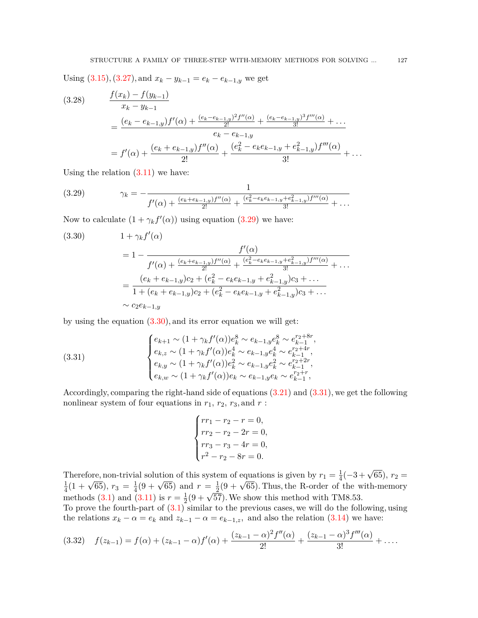Using  $(3.15), (3.27), \text{and } x_k - y_{k-1} = e_k - e_{k-1,y}$  $(3.15), (3.27), \text{and } x_k - y_{k-1} = e_k - e_{k-1,y}$  $(3.15), (3.27), \text{and } x_k - y_{k-1} = e_k - e_{k-1,y}$  $(3.15), (3.27), \text{and } x_k - y_{k-1} = e_k - e_{k-1,y}$  $(3.15), (3.27), \text{and } x_k - y_{k-1} = e_k - e_{k-1,y}$  we get

$$
(3.28) \qquad \frac{f(x_k) - f(y_{k-1})}{x_k - y_{k-1}} \\
= \frac{(e_k - e_{k-1,y})f'(\alpha) + \frac{(e_k - e_{k-1,y})^2 f''(\alpha)}{2!} + \frac{(e_k - e_{k-1,y})^3 f'''(\alpha)}{3!} + \dots}{e_k - e_{k-1,y}} \\
= f'(\alpha) + \frac{(e_k + e_{k-1,y})f''(\alpha)}{2!} + \frac{(e_k^2 - e_k e_{k-1,y} + e_{k-1,y}^2)f'''(\alpha)}{3!} + \dots
$$

Using the relation  $(3.11)$  $(3.11)$  $(3.11)$  we have:

<span id="page-8-0"></span>
$$
(3.29) \t\t \gamma_k = -\frac{1}{f'(\alpha) + \frac{(e_k + e_{k-1,y})f''(\alpha)}{2!} + \frac{(e_k^2 - e_k e_{k-1,y} + e_{k-1,y}^2)f'''(\alpha)}{3!} + \dots}
$$

Now to calculate  $(1 + \gamma_k f'(\alpha))$  using equation [\(3.29\)](#page-8-0) we have:

<span id="page-8-1"></span>
$$
(3.30) \t 1 + \gamma_k f'(\alpha)
$$
  
= 1 - 
$$
\frac{f'(\alpha)}{f'(\alpha) + \frac{(e_k + e_{k-1,y})f''(\alpha)}{2!} + \frac{(e_k^2 - e_k e_{k-1,y} + e_{k-1,y}^2)f'''(\alpha)}{3!} + \dots}
$$
  
= 
$$
\frac{(e_k + e_{k-1,y})c_2 + (e_k^2 - e_k e_{k-1,y} + e_{k-1,y}^2)c_3 + \dots}{1 + (e_k + e_{k-1,y})c_2 + (e_k^2 - e_k e_{k-1,y} + e_{k-1,y}^2)c_3 + \dots}
$$
  

$$
\sim c_2 e_{k-1,y}
$$

by using the equation  $(3.30)$ , and its error equation we will get:

(3.31) 
$$
\begin{cases} e_{k+1} \sim (1 + \gamma_k f'(\alpha)) e_k^8 \sim e_{k-1,y} e_k^8 \sim e_{k-1}^{r_2+8r}, \\ e_{k,z} \sim (1 + \gamma_k f'(\alpha)) e_k^4 \sim e_{k-1,y} e_k^4 \sim e_{k-1}^{r_2+4r}, \\ e_{k,y} \sim (1 + \gamma_k f'(\alpha)) e_k^2 \sim e_{k-1,y} e_k^2 \sim e_{k-1}^{r_2+2r}, \\ e_{k,w} \sim (1 + \gamma_k f'(\alpha)) e_k \sim e_{k-1,y} e_k \sim e_{k-1}^{r_2+r}, \end{cases}
$$

Accordingly, comparing the right-hand side of equations ([3.21](#page-6-2)) and ([3.31](#page-8-2)), we get the following nonlinear system of four equations in  $r_1$ ,  $r_2$ ,  $r_3$ , and  $r$ :

<span id="page-8-2"></span>
$$
\begin{cases}\nrr_1 - r_2 - r = 0, \\
rr_2 - r_2 - 2r = 0, \\
rr_3 - r_3 - 4r = 0, \\
r^2 - r_2 - 8r = 0.\n\end{cases}
$$

Therefore, non-trivial solution of this system of equations is given by  $r_1 = \frac{1}{4}$  $\frac{1}{4}(-3+\sqrt{65}), r_2 =$ 1  $\frac{1}{4}(1+\sqrt{65})$ ,  $r_3 = \frac{1}{4}$  $\frac{1}{4}(9 + \sqrt{65})$  and  $r = \frac{1}{2}$  $\frac{1}{2}(9 + \sqrt{65})$ . Thus, the R-order of the with-memory methods [\(3.1](#page-4-0)) and ([3.11\)](#page-5-5) is  $r = \frac{1}{2}$  $\frac{1}{2}(9+\sqrt{57})$ . We show this method with TM8.53.

To prove the fourth-part of  $(3.1)$  $(3.1)$  similar to the previous cases, we will do the following, using the relations  $x_k - \alpha = e_k$  and  $z_{k-1} - \alpha = e_{k-1,z}$ , and also the relation ([3.14](#page-5-1)) we have:

<span id="page-8-3"></span>
$$
(3.32) \quad f(z_{k-1}) = f(\alpha) + (z_{k-1} - \alpha)f'(\alpha) + \frac{(z_{k-1} - \alpha)^2 f''(\alpha)}{2!} + \frac{(z_{k-1} - \alpha)^3 f'''(\alpha)}{3!} + \dots
$$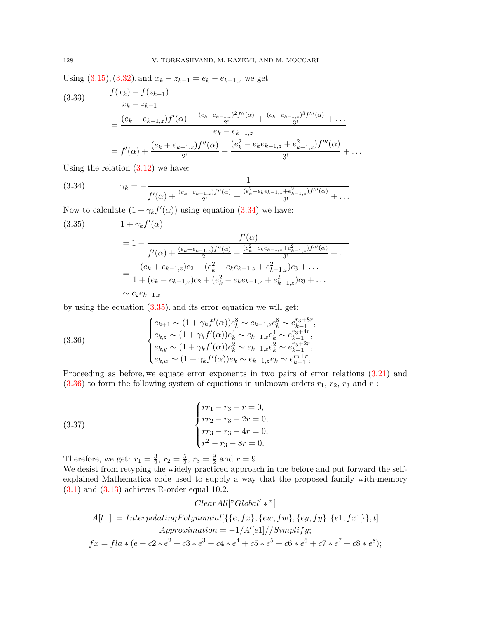Using  $(3.15), (3.32),$  $(3.15), (3.32),$  $(3.15), (3.32),$  $(3.15), (3.32),$  $(3.15), (3.32),$  and  $x_k - z_{k-1} = e_k - e_{k-1,z}$  we get

$$
(3.33) \qquad \frac{f(x_k) - f(z_{k-1})}{x_k - z_{k-1}} \\
= \frac{(e_k - e_{k-1,z})f'(\alpha) + \frac{(e_k - e_{k-1,z})^2 f''(\alpha)}{2!} + \frac{(e_k - e_{k-1,z})^3 f'''(\alpha)}{3!} + \dots}{e_k - e_{k-1,z}} \\
= f'(\alpha) + \frac{(e_k + e_{k-1,z})f''(\alpha)}{2!} + \frac{(e_k^2 - e_k e_{k-1,z} + e_{k-1,z}^2)f'''(\alpha)}{3!} + \dots
$$

Using the relation  $(3.12)$  $(3.12)$  $(3.12)$  we have:

<span id="page-9-0"></span>(3.34) 
$$
\gamma_k = -\frac{1}{f'(\alpha) + \frac{(e_k + e_{k-1,z})f''(\alpha)}{2!} + \frac{(e_k^2 - e_k e_{k-1,z} + e_{k-1,z}^2)f'''(\alpha)}{3!} + \dots}
$$

Now to calculate  $(1 + \gamma_k f'(\alpha))$  using equation [\(3.34\)](#page-9-0) we have:

<span id="page-9-1"></span>
$$
(3.35) \t 1 + \gamma_k f'(\alpha)
$$
  
= 1 - 
$$
\frac{f'(\alpha)}{f'(\alpha) + \frac{(e_k + e_{k-1,z})f''(\alpha)}{2!} + \frac{(e_k^2 - e_k e_{k-1,z} + e_{k-1,z}^2)f'''(\alpha)}{3!} + \dots}
$$
  
= 
$$
\frac{(e_k + e_{k-1,z})c_2 + (e_k^2 - e_k e_{k-1,z} + e_{k-1,z}^2)c_3 + \dots}{1 + (e_k + e_{k-1,z})c_2 + (e_k^2 - e_k e_{k-1,z} + e_{k-1,z}^2)c_3 + \dots}
$$
  

$$
\sim c_2 e_{k-1,z}
$$

by using the equation [\(3.35\)](#page-9-1), and its error equation we will get:

<span id="page-9-2"></span>(3.36) 
$$
\begin{cases} e_{k+1} \sim (1 + \gamma_k f'(\alpha)) e_k^8 \sim e_{k-1,z} e_k^8 \sim e_{k-1}^{r_3 + 8r}, \\ e_{k,z} \sim (1 + \gamma_k f'(\alpha)) e_k^4 \sim e_{k-1,z} e_k^4 \sim e_{k-1}^{r_3 + 4r}, \\ e_{k,y} \sim (1 + \gamma_k f'(\alpha)) e_k^2 \sim e_{k-1,z} e_k^2 \sim e_{k-1}^{r_3 + r}, \\ e_{k,w} \sim (1 + \gamma_k f'(\alpha)) e_k \sim e_{k-1,z} e_k \sim e_{k-1}^{r_3 + r}, \end{cases}
$$

Proceeding as before, we equate error exponents in two pairs of error relations  $(3.21)$  $(3.21)$  $(3.21)$  and  $(3.36)$  to form the following system of equations in unknown orders  $r_1$ ,  $r_2$ ,  $r_3$  and  $r$ :

(3.37) 
$$
\begin{cases} rr_1 - r_3 - r = 0, \\ rr_2 - r_3 - 2r = 0, \\ rr_3 - r_3 - 4r = 0, \\ r^2 - r_3 - 8r = 0. \end{cases}
$$

Therefore, we get:  $r_1 = \frac{3}{2}$  $\frac{3}{2}, r_2 = \frac{5}{2}$  $\frac{5}{2}$ ,  $r_3 = \frac{9}{2}$  $\frac{9}{2}$  and  $r = 9$ .

We desist from retyping the widely practiced approach in the before and put forward the selfexplained Mathematica code used to supply a way that the proposed family with-memory  $(3.1)$  $(3.1)$  and  $(3.13)$  $(3.13)$  achieves R-order equal 10.2.

$$
ClearAll["Global' *"]
$$
  
\n
$$
A[t_{-}] := InterpolatingPolynomial[\{\{e, fx\}, \{ew, fw\}, \{ey, fy\}, \{e1, fx1\}\}, t]
$$
  
\n
$$
Approximation = -1/A'[e1]//Simplify;
$$
  
\n
$$
fx = fla * (e + c2 * e2 + c3 * e3 + c4 * e4 + c5 * e5 + c6 * e6 + c7 * e7 + c8 * e8);
$$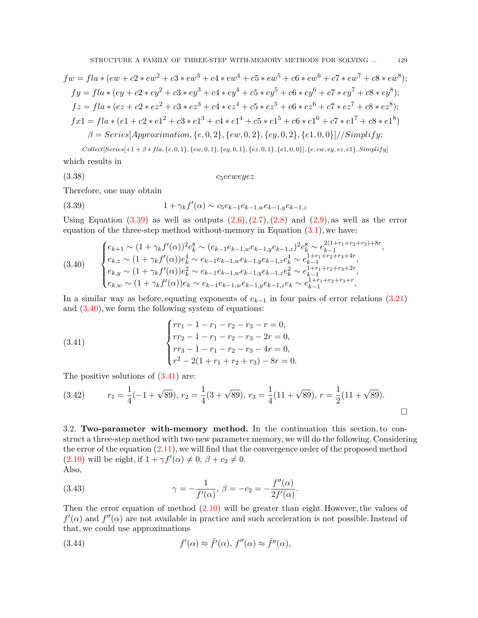$$
fw = fla * (ew + c2 * ew2 + c3 * ew3 + c4 * ew4 + c5 * ew5 + c6 * ew6 + c7 * ew7 + c8 * ew8);
$$
  
\n
$$
fy = fla * (ey + c2 * ey2 + c3 * ey3 + c4 * ey4 + c5 * ey5 + c6 * ey6 + c7 * ey7 + c8 * ey8);
$$
  
\n
$$
fz = fla * (ez + c2 * ez2 + c3 * ez3 + c4 * ez4 + c5 * ez5 + c6 * ez6 + c7 * ez7 + c8 * ez8);
$$
  
\n
$$
fx1 = fla * (e1 + c2 * e12 + c3 * e13 + c4 * e14 + c5 * e15 + c6 * e16 + c7 * e17 + c8 * e18)
$$
  
\n
$$
\beta = Series[Approximation, \{e, 0, 2\}, \{ew, 0, 2\}, \{ey, 0, 2\}, \{e1, 0, 0\}]/Simplify;
$$
  
\n
$$
Collect[Series[+1 + \beta * fla, \{e, 0, 1\}, \{ew, 0, 1\}, \{ey, 0, 1\}, \{ez, 0, 1\}, \{e1, 0, 0\}], \{e, ew, ey, ez, e1\}, Simplify]
$$

which results in

$$
(3.38) \t\t c_5eeweye z
$$

Therefore, one may obtain

<span id="page-10-0"></span>(3.39) 
$$
1 + \gamma_k f'(\alpha) \sim c_5 e_{k-1} e_{k-1,w} e_{k-1,y} e_{k-1,z}
$$

Using Equation  $(3.39)$  $(3.39)$  as well as outputs  $(2.6), (2.7), (2.8)$  $(2.6), (2.7), (2.8)$  $(2.6), (2.7), (2.8)$  $(2.6), (2.7), (2.8)$  $(2.6), (2.7), (2.8)$  $(2.6), (2.7), (2.8)$  $(2.6), (2.7), (2.8)$  and  $(2.9)$  $(2.9)$ , as well as the error equation of the three-step method without-memory in Equation  $(3.1)$  $(3.1)$ , we have:

<span id="page-10-1"></span>
$$
(3.40) \qquad \begin{cases} e_{k+1} \sim (1 + \gamma_k f'(\alpha))^2 e_k^8 \sim (e_{k-1} e_{k-1, w} e_{k-1, y} e_{k-1, z})^2 e_k^8 \sim e_{k-1}^{2(1+r_1+r_2+r_3)+8r}, \\ e_{k, z} \sim (1 + \gamma_k f'(\alpha)) e_k^4 \sim e_{k-1} e_{k-1, w} e_{k-1, y} e_{k-1, z} e_k^4 \sim e_{k-1}^{1+r_1+r_2+r_3+4r}, \\ e_{k, y} \sim (1 + \gamma_k f'(\alpha)) e_k^2 \sim e_{k-1} e_{k-1, w} e_{k-1, y} e_{k-1, z} e_k^2 \sim e_{k-1}^{1+r_1+r_2+r_3+2r}, \\ e_{k, w} \sim (1 + \gamma_k f'(\alpha)) e_k \sim e_{k-1} e_{k-1, w} e_{k-1, y} e_{k-1, z} e_k \sim e_{k-1}^{1+r_1+r_2+r_3+r}, \end{cases}
$$

In a similar way as before, equating exponents of  $e_{k-1}$  in four pairs of error relations [\(3.21\)](#page-6-2) and  $(3.40)$ , we form the following system of equations:

<span id="page-10-2"></span>(3.41) 
$$
\begin{cases} rr_1 - 1 - r_1 - r_2 - r_3 - r = 0, \\ rr_2 - 1 - r_1 - r_2 - r_3 - 2r = 0, \\ rr_3 - 1 - r_1 - r_2 - r_3 - 4r = 0, \\ r^2 - 2(1 + r_1 + r_2 + r_3) - 8r = 0. \end{cases}
$$

The positive solutions of  $(3.41)$  $(3.41)$  are:

(3.42) 
$$
r_1 = \frac{1}{4}(-1 + \sqrt{89}), r_2 = \frac{1}{4}(3 + \sqrt{89}), r_3 = \frac{1}{4}(11 + \sqrt{89}), r = \frac{1}{2}(11 + \sqrt{89}).
$$

3.2. **Two-parameter with-memory method.** In the continuation this section, to construct a three-step method with two new parameter memory, we will do the following. Considering the error of the equation  $(2.11)$  $(2.11)$ , we will find that the convergence order of the proposed method  $(2.10)$  will be eight, if  $1 + \gamma f'(\alpha) \neq 0, \ \beta + c_2 \neq 0.$ Also,

*.*

(3.43) 
$$
\gamma = -\frac{1}{f'(\alpha)}, \ \beta = -c_2 = -\frac{f''(\alpha)}{2f'(\alpha)}
$$

Then the error equation of method [\(2.10\)](#page-3-1) will be greater than eight. However, the values of  $f'(\alpha)$  and  $f''(\alpha)$  are not available in practice and such acceleration is not possible. Instead of that, we could use approximations

(3.44) 
$$
f'(\alpha) \approx \bar{f}'(\alpha), \ f''(\alpha) \approx \bar{f}''(\alpha),
$$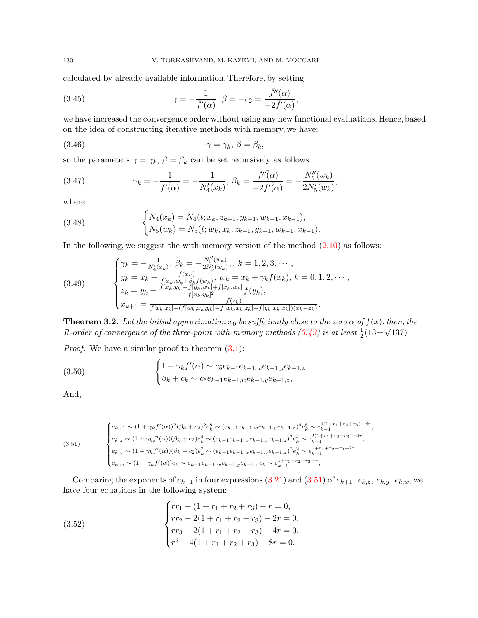calculated by already available information. Therefore, by setting

(3.45) 
$$
\gamma = -\frac{1}{\bar{f}'(\alpha)}, \ \beta = -c_2 = \frac{\bar{f}''(\alpha)}{-2\bar{f}'(\alpha)},
$$

we have increased the convergence order without using any new functional evaluations. Hence, based on the idea of constructing iterative methods with memory, we have:

$$
\gamma = \gamma_k, \, \beta = \beta_k,
$$

so the parameters  $\gamma = \gamma_k$ ,  $\beta = \beta_k$  can be set recursively as follows:

(3.47) 
$$
\gamma_k = -\frac{1}{f'(\alpha)} = -\frac{1}{N'_4(x_k)}, \ \beta_k = \frac{f''(\alpha)}{-2f'(\alpha)} = -\frac{N''_5(w_k)}{2N'_5(w_k)},
$$

where

(3.48) 
$$
\begin{cases} N_4(x_k) = N_4(t; x_k, z_{k-1}, y_{k-1}, w_{k-1}, x_{k-1}), \\ N_5(w_k) = N_5(t; w_k, x_k, z_{k-1}, y_{k-1}, w_{k-1}, x_{k-1}). \end{cases}
$$

In the following, we suggest the with-memory version of the method [\(2.10](#page-3-1)) as follows:

<span id="page-11-0"></span>(3.49) 
$$
\begin{cases} \gamma_k = -\frac{1}{N'_4(x_k)}, \ \beta_k = -\frac{N''_5(w_k)}{2N'_5(w_k)}, \ k = 1, 2, 3, \cdots, \\ y_k = x_k - \frac{f(x_n)}{f[x_k, w_k + \beta_k f(w_k))}, \ w_k = x_k + \gamma_k f(x_k), \ k = 0, 1, 2, \cdots, \\ z_k = y_k - \frac{f[x_k, y_k] - f[y_k, w_k] + f[x_k, w_k]}{f[x_k, y_k]^2} f(y_k), \\ x_{k+1} = \frac{f(x_k)}{f[x_k, z_k] + (f[w_k, x_k, y_k] - f[w_k, x_k, z_k] - f[y_k, x_k, z_k])(x_k - z_k)}.\end{cases}
$$

**Theorem 3.2.** Let the initial approximation  $x_0$  be sufficiently close to the zero  $\alpha$  of  $f(x)$ *, then, the* **R**-order of convergence of the three-point with-memory methods  $(3.49)$  $(3.49)$  is at least  $\frac{1}{2}(13+\sqrt{137})$ 

*Proof.* We have a similar proof to theorem  $(3.1)$  $(3.1)$ :

(3.50) 
$$
\begin{cases} 1 + \gamma_k f'(\alpha) \sim c_5 e_{k-1} e_{k-1,w} e_{k-1,y} e_{k-1,z}, \\ \beta_k + c_k \sim c_5 e_{k-1} e_{k-1,w} e_{k-1,y} e_{k-1,z}, \end{cases}
$$

And,

<span id="page-11-1"></span>
$$
(3.51)
$$
\n
$$
\begin{cases}\ne_{k+1} \sim (1 + \gamma_k f'(\alpha))^2 (\beta_k + c_2)^2 e_k^8 \sim (e_{k-1} e_{k-1,w} e_{k-1,y} e_{k-1,z})^4 e_k^8 \sim e_{k-1}^{4(1+r_1+r_2+r_3)+8r}, \\
e_{k,z} \sim (1 + \gamma_k f'(\alpha)) (\beta_k + c_2) e_k^4 \sim (e_{k-1} e_{k-1,w} e_{k-1,y} e_{k-1,z})^2 e_k^4 \sim e_{k-1}^{2(1+r_1+r_2+r_3)+4r}, \\
e_{k,y} \sim (1 + \gamma_k f'(\alpha)) (\beta_k + c_2) e_k^2 \sim (e_{k-1} e_{k-1,w} e_{k-1,y} e_{k-1,z})^2 e_k^2 \sim e_{k-1}^{1+r_1+r_2+r_3+2r}, \\
e_{k,w} \sim (1 + \gamma_k f'(\alpha)) e_k \sim e_{k-1} e_{k-1,w} e_{k-1,y} e_{k-1,z} e_k \sim e_{k-1}^{1+r_1+r_2+r_3+r},\n\end{cases}
$$

Comparing the exponents of  $e_{k-1}$  in four expressions [\(3.21\)](#page-6-2) and ([3.51](#page-11-1)) of  $e_{k+1}$ ,  $e_{k,z}$ ,  $e_{k,y}$ ,  $e_{k,w}$ , we have four equations in the following system:

(3.52) 
$$
\begin{cases}\nrr_1 - (1 + r_1 + r_2 + r_3) - r = 0, \\
rr_2 - 2(1 + r_1 + r_2 + r_3) - 2r = 0, \\
rr_3 - 2(1 + r_1 + r_2 + r_3) - 4r = 0, \\
r^2 - 4(1 + r_1 + r_2 + r_3) - 8r = 0.\n\end{cases}
$$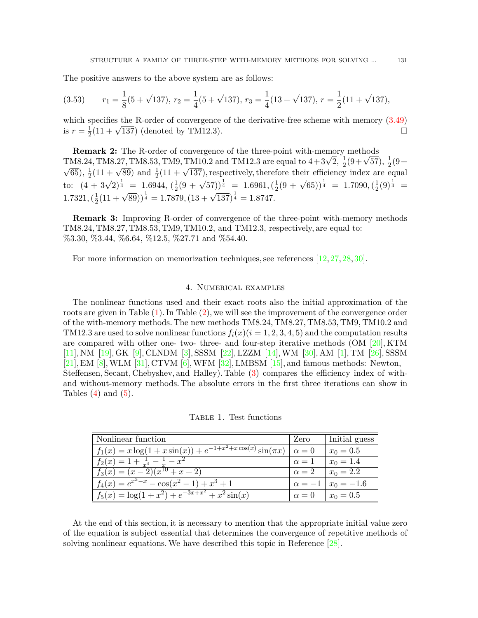The positive answers to the above system are as follows:

$$
(3.53) \qquad r_1 = \frac{1}{8}(5 + \sqrt{137}), \ r_2 = \frac{1}{4}(5 + \sqrt{137}), \ r_3 = \frac{1}{4}(13 + \sqrt{137}), \ r = \frac{1}{2}(11 + \sqrt{137}),
$$

which specifies the R-order of convergence of the derivative-free scheme with memory [\(3.49\)](#page-11-0) is  $r=\frac{1}{2}$ specifies the K-order of convergence of the derivative-free scheme with memory (5.49)<br> $\frac{1}{2}(11 + \sqrt{137})$  (denoted by TM12.3).

**Remark 2:** The R-order of convergence of the three-point with-memory methods **TM8.24, TM8.27, TM8.53, TM9, TM10.2** and TM12.3 are equal to  $4+3\sqrt{2}$ ,  $\frac{1}{2}$  $\frac{1}{2}(9+\sqrt{57}), \frac{1}{2}$  $rac{1}{2}(9 +$ *√*  $\overline{65}$ ),  $\frac{1}{2}$  $\frac{1}{2}(11 + \sqrt{89})$  and  $\frac{1}{2}(11 + \sqrt{137})$ , respectively, therefore their efficiency index are equal to:  $(4 + 3\sqrt{2})^{\frac{1}{4}} = 1.6944, (\frac{1}{2})^{\frac{1}{4}}$  $(\frac{1}{2}(9 + \sqrt{57}))^{\frac{1}{4}} = 1.6961, (\frac{1}{2})$  $\frac{1}{2}(9 + \sqrt{65}))^{\frac{1}{4}} = 1.7090, (\frac{1}{2})$  $\frac{1}{2}(9)^{\frac{1}{4}}$  =  $1.7321, (\frac{1}{2})$  $(\frac{1}{2}(11 + \sqrt{89}))^{\frac{1}{4}} = 1.7879, (13 + \sqrt{137})^{\frac{1}{4}} = 1.8747.$ 

**Remark 3:** Improving R-order of convergence of the three-point with-memory methods TM8.24, TM8.27, TM8.53, TM9, TM10.2, and TM12.3, respectively, are equal to: %3*.*30*,* %3*.*44*,* %6*.*64*,* %12*.*5*,* %27*.*71 and %54*.*40.

For more information on memorization techniques, see references[[12,](#page-17-9) [27](#page-17-10), [28,](#page-17-11) [30\]](#page-18-0).

## 4. Numerical examples

The nonlinear functions used and their exact roots also the initial approximation of the roots are given in Table [\(1\)](#page-12-0). In Table [\(2](#page-13-0)), we will see the improvement of the convergence order of the with-memory methods. The new methods TM8.24, TM8.27, TM8.53, TM9, TM10.2 and TM12.3 are used to solve nonlinear functions  $f_i(x)$  ( $i = 1, 2, 3, 4, 5$ ) and the computation results are compared with other one- two- three- and four-step iterative methods  $(OM [20], KTM$  $(OM [20], KTM$  $(OM [20], KTM$ [\[11\]](#page-17-1), NM [\[19](#page-17-2)], GK [\[9\]](#page-17-3), CLNDM [[3](#page-16-0)], SSSM [\[22](#page-17-7)], LZZM [\[14](#page-17-8)], WM [[30](#page-18-0)], AM [[1](#page-16-1)], TM [\[26\]](#page-17-12), SSSM  $[21]$ , EM  $[8]$  $[8]$  $[8]$ , WLM  $[31]$  $[31]$ , CTVM  $[6]$ , WFM  $[32]$  $[32]$ , LMBSM  $[15]$  $[15]$ , and famous methods: Newton, Steffensen, Secant, Chebyshev, and Halley). Table [\(3\)](#page-13-1) compares the efficiency index of withand without-memory methods. The absolute errors in the first three iterations can show in Tables  $(4)$  $(4)$  and  $(5)$ .

<span id="page-12-0"></span>Nonlinear function  $\vert$  Zero  $\vert$  Initial guess  $f_1(x) = x \log(1 + x \sin(x)) + e^{-1 + x^2 + x \cos(x)} \sin(\pi x) \left[ \alpha = 0 \right]$   $x_0 = 0.5$  $f_2(x) = 1 + \frac{1}{x^4} - \frac{1}{x} - x^2$   $\alpha = 1$  *x*<sub>0</sub> = 1.4  $f_3(x) = (x-2)(x^{10} + x + 2)$   $\alpha = 2$   $x_0 = 2.2$  $f_4(x) = e^{x^3 - x} - \cos(x^2 - 1) + x^3 + 1$   $\alpha = -1 \mid x_0 = -1.6$  $f_5(x) = \log(1 + x^2) + e^{-3x + x^2} + x^2 \sin(x)$   $\alpha = 0$   $x_0 = 0.5$ 

Table 1. Test functions

At the end of this section, it is necessary to mention that the appropriate initial value zero of the equation is subject essential that determines the convergence of repetitive methods of solving nonlinear equations. We have described this topic in Reference [[28\]](#page-17-11).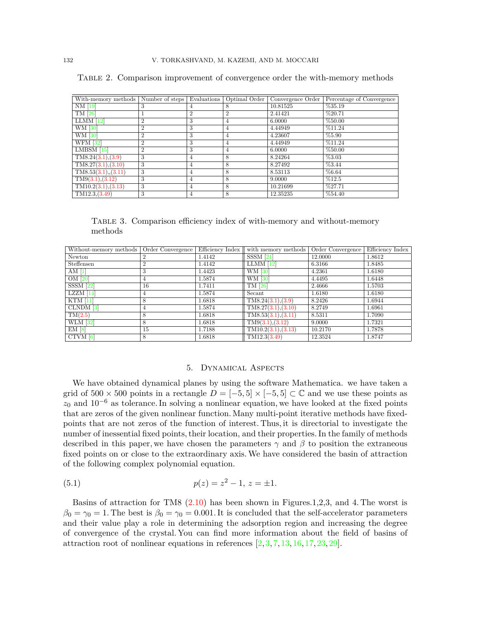| With-memory methods                 | Number of steps | Evaluations    | Optimal Order  | Convergence Order | Percentage of Convergence |
|-------------------------------------|-----------------|----------------|----------------|-------------------|---------------------------|
| NM [19]                             | 3               | 4              | 8              | 10.81525          | %35.19                    |
| TM [26]                             | 1               | $\overline{2}$ | $\overline{2}$ | 2.41421           | %20.71                    |
| $LLMM$ [12]                         | $\overline{2}$  | 3              | 4              | 6.0000            | %50.00                    |
| WM [30]                             | $\overline{2}$  | 3              | 4              | 4.44949           | %11.24                    |
| <b>WM</b> [30]                      | $\overline{2}$  | 3              | 4              | 4.23607           | %5.90                     |
| <b>WFM</b> [32]                     | $\overline{2}$  | 3              | 4              | 4.44949           | %11.24                    |
| LMBSM [15]                          | $\overline{2}$  | 3              | 4              | 6.0000            | %50.00                    |
| TMS.24(3.1), (3.9)                  | 3               | $\overline{4}$ | 8              | 8.24264           | %3.03                     |
| TMS.27(3.1),(3.10)                  | 3               | $\overline{4}$ | 8              | 8.27492           | %3.44                     |
| $TMS.53(3.1)$ <sub>0</sub> $(3.11)$ | 3               | $\overline{4}$ | 8              | 8.53113           | %6.64                     |
| TM9(3.1), (3.12)                    | 3               | 4              | 8              | 9.0000            | %12.5                     |
| TM10.2(3.1),(3.13)                  | 3               | $\overline{4}$ | 8              | 10.21699          | %27.71                    |
| TM12.3,(3.49)                       | 3               | 4              | 8              | 12.35235          | %54.40                    |

<span id="page-13-0"></span>Table 2. Comparison improvement of convergence order the with-memory methods

<span id="page-13-1"></span>Table 3. Comparison efficiency index of with-memory and without-memory methods

| Without-memory methods | Order Convergence | Efficiency Index | with memory methods                     | Order Convergence | Efficiency Index |
|------------------------|-------------------|------------------|-----------------------------------------|-------------------|------------------|
| Newton                 | $\overline{2}$    | 1.4142           | $SSSM$ [21]                             | 12.0000           | 1.8612           |
| Steffensen             | $\overline{2}$    | 1.4142           | $LLMM$ [12]                             | 6.3166            | 1.8485           |
| AM $[1]$               | 3                 | 1.4423           | WM [30]                                 | 4.2361            | 1.6180           |
| OM [20]                | 4                 | 1.5874           | WM [30]                                 | 4.4495            | 1.6448           |
| $SSSM$ [22]            | 16                | 1.7411           | TM [26]                                 | 2.4666            | 1.5703           |
| $LZZM$ [14]            | 4                 | 1.5874           | Secant                                  | 1.6180            | 1.6180           |
| $KTM$ [11]             | 8                 | 1.6818           | $\overline{\text{TM8}}$ .24(3.1), (3.9) | 8.2426            | 1.6944           |
| CLNDM <sub>[3]</sub>   | 4                 | 1.5874           | TMS.27(3.1),(3.10)                      | 8.2749            | 1.6961           |
| TM(2.5)                | 8                 | 1.6818           | TMS.53(3.1), (3.11)                     | 8.5311            | 1.7090           |
| <b>WLM</b> [32]        | 8                 | 1.6818           | TM9(3.1), (3.12)                        | 9.0000            | 1.7321           |
| EM[8]                  | 15                | 1.7188           | $T M 10.2({\bf 3}.1),({\bf 3}.13)$      | 10.2170           | 1.7878           |
| $CTVM$ [6]             | 8                 | 1.6818           | TM12.3(3.49)                            | 12.3524           | 1.8747           |

#### 5. Dynamical Aspects

We have obtained dynamical planes by using the software Mathematica. we have taken a grid of  $500 \times 500$  points in a rectangle  $D = [-5, 5] \times [-5, 5] \subset \mathbb{C}$  and we use these points as *z*<sup>0</sup> and 10*−*<sup>6</sup> as tolerance. In solving a nonlinear equation, we have looked at the fixed points that are zeros of the given nonlinear function. Many multi-point iterative methods have fixedpoints that are not zeros of the function of interest. Thus, it is directorial to investigate the number of inessential fixed points, their location, and their properties. In the family of methods described in this paper, we have chosen the parameters *γ* and *β* to position the extraneous fixed points on or close to the extraordinary axis. We have considered the basin of attraction of the following complex polynomial equation.

(5.1) 
$$
p(z) = z^2 - 1, z = \pm 1.
$$

Basins of attraction for TM8 [\(2.10\)](#page-3-1) has been shown in Figures.1,2,3, and 4. The worst is  $\beta_0 = \gamma_0 = 1$ . The best is  $\beta_0 = \gamma_0 = 0.001$ . It is concluded that the self-accelerator parameters and their value play a role in determining the adsorption region and increasing the degree of convergence of the crystal. You can find more information about the field of basins of attraction root of nonlinear equations in references  $(2, 3, 7, 13, 16, 17, 23, 29)$  $(2, 3, 7, 13, 16, 17, 23, 29)$  $(2, 3, 7, 13, 16, 17, 23, 29)$  $(2, 3, 7, 13, 16, 17, 23, 29)$  $(2, 3, 7, 13, 16, 17, 23, 29)$  $(2, 3, 7, 13, 16, 17, 23, 29)$  $(2, 3, 7, 13, 16, 17, 23, 29)$  $(2, 3, 7, 13, 16, 17, 23, 29)$  $(2, 3, 7, 13, 16, 17, 23, 29)$  $(2, 3, 7, 13, 16, 17, 23, 29)$  $(2, 3, 7, 13, 16, 17, 23, 29)$  $(2, 3, 7, 13, 16, 17, 23, 29)$  $(2, 3, 7, 13, 16, 17, 23, 29)$  $(2, 3, 7, 13, 16, 17, 23, 29)$  $(2, 3, 7, 13, 16, 17, 23, 29)$ .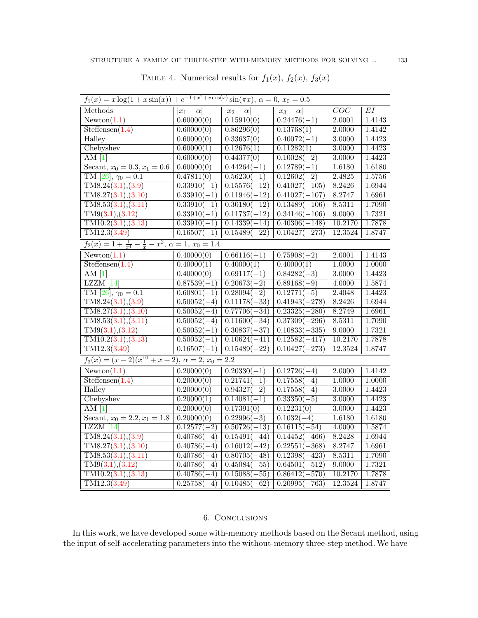<span id="page-14-0"></span>

| $f_1(x) = x \log(1 + x \sin(x)) + e^{-1 + x^2 + x \cos(x)} \sin(\pi x), \ \alpha = 0, x_0 = 0.5$ |                           |                           |                            |                  |        |  |
|--------------------------------------------------------------------------------------------------|---------------------------|---------------------------|----------------------------|------------------|--------|--|
| Methods                                                                                          | $\overline{ x_1-\alpha }$ | $ x_2-\alpha $            | $\overline{ x_3-\alpha }$  | $\overline{COC}$ | EI     |  |
| Newton(1.1)                                                                                      | 0.60000(0)                | 0.15910(0)                | $0.24476(-1)$              | 2.0001           | 1.4143 |  |
| Steffensen(1.4)                                                                                  | 0.60000(0)                | 0.86296(0)                | 0.13768(1)                 | 2.0000           | 1.4142 |  |
| Halley                                                                                           | 0.60000(0)                | 0.33637(0)                | $0.40072(-1)$              | 3.0000           | 1.4423 |  |
| Chebyshev                                                                                        | 0.60000(1)                | 0.12676(1)                | 0.11282(1)                 | 3.0000           | 1.4423 |  |
| AM <sub>1</sub>                                                                                  | 0.60000(0)                | 0.44377(0)                | $0.10028(-2)$              | 3.0000           | 1.4423 |  |
| Secant, $x_0 = 0.3, x_1 = 0.6$                                                                   | 0.60000(0)                | $0.44264(-1)$             | $0.12789(-1)$              | 1.6180           | 1.6180 |  |
| TM [26], $\gamma_0 = 0.1$                                                                        | 0.47811(0)                | $0.56230(-1)$             | $0.12602(-2)$              | 2.4825           | 1.5756 |  |
| TMS.24(3.1), (3.9)                                                                               | $0.33910(-1)$             | $0.15576(-12)$            | $0.41027(-105)$            | 8.2426           | 1.6944 |  |
| TMS.27(3.1), (3.10)                                                                              | $0.33910(-1)$             | $0.11946(-12)$            | $\overline{0.41027(-107)}$ | 8.2747           | 1.6961 |  |
| TMS.53(3.1), (3.11)                                                                              | $0.33910(-1)$             | $0.30180(-12)$            | $0.13489(-106)$            | 8.5311           | 1.7090 |  |
| TM9(3.1), (3.12)                                                                                 | $0.33910(-1)$             | $0.11737(-12)$            | $0.34146(-106)$            | 9.0000           | 1.7321 |  |
| $TM10.2({3.1}), (3.13)$                                                                          | $\overline{0.33910(-1)}$  | $0.14339(-14)$            | $0.40306(-148)$            | 10.2170          | 1.7878 |  |
| $\overline{\text{TM12.3}(3.49)}$                                                                 | $0.16507(-1)$             | $\overline{0.15489(-22)}$ | $0.10427(-273)$            | 12.3524          | 1.8747 |  |
| $f_2(x) = 1 + \frac{1}{x^4} - \frac{1}{x} - x^2$ , $\alpha = 1$ , $x_0 = 1.4$                    |                           |                           |                            |                  |        |  |
| $\overline{\text{Newton}(1.1)}$                                                                  | 0.40000(0)                | $0.66116(-1)$             | $0.75908(-2)$              | 2.0001           | 1.4143 |  |
| Steffensen(1.4)                                                                                  | 0.40000(1)                | 0.40000(1)                | 0.40000(1)                 | 1.0000           | 1.0000 |  |
| AM $[1]$                                                                                         | $\overline{0.40000(0)}$   | $0.69117(-1)$             | $0.84282(-3)$              | 3.0000           | 1.4423 |  |
| $LZZM$ [14]                                                                                      | $0.87539(-1)$             | $0.20673(-2)$             | $0.89168(-9)$              | 4.0000           | 1.5874 |  |
| TM [26], $\gamma_0 = 0.1$                                                                        | $0.60801(-1)$             | $0.28094(-2)$             | $0.12771(-5)$              | 2.4048           | 1.4423 |  |
| TMS.24(3.1), (3.9)                                                                               | $0.50052(-4)$             | $0.11178(-33)$            | $0.41943(-278)$            | 8.2426           | 1.6944 |  |
| TMS.27(3.1), (3.10)                                                                              | $\overline{0.50052(-4)}$  | $0.77706(-34)$            | $0.23325(-280)$            | 8.2749           | 1.6961 |  |
| TMS.53(3.1), (3.11)                                                                              | $0.50052(-4)$             | $0.11600(-34)$            | $0.37309(-296)$            | 8.5311           | 1.7090 |  |
| TM9(3.1), (3.12)                                                                                 | $0.50052(-1)$             | $0.30837(-37)$            | $0.10833(-335)$            | 9.0000           | 1.7321 |  |
| TM10.2(3.1), (3.13)                                                                              | $0.50052(-1)$             | $0.10624(-41)$            | $0.12582(-417)$            | 10.2170          | 1.7878 |  |
| TM12.3(3.49)                                                                                     | $0.16507(-1)$             | $0.15489(-22)$            | $0.10427(-273)$            | 12.3524          | 1.8747 |  |
| $f_3(x) = (x-2)(x^{10} + x + 2), \ \alpha = 2, \ x_0 = 2.2$                                      |                           |                           |                            |                  |        |  |
| Newton(1.1)                                                                                      | 0.20000(0)                | $0.20330(-1)$             | $0.12726(-4)$              | 2.0000           | 1.4142 |  |
| Steffensen(1.4)                                                                                  | 0.20000(0)                | $0.21741(-1)$             | $0.17558(-4)$              | 1.0000           | 1.0000 |  |
| Halley                                                                                           | 0.20000(0)                | $0.94327(-2)$             | $0.17558(-4)$              | 3.0000           | 1.4423 |  |
| Chebyshev                                                                                        | 0.20000(1)                | $0.14081(-1)$             | $0.33350(-5)$              | 3.0000           | 1.4423 |  |
| AM <sub>1</sub>                                                                                  | 0.20000(0)                | 0.17391(0)                | 0.12231(0)                 | 3.0000           | 1.4423 |  |
| Secant, $x_0 = 2.2, x_1 = 1.8$                                                                   | $\overline{0.20000(0)}$   | $0.22996(-3)$             | $0.1032(-4)$               | 1.6180           | 1.6180 |  |
| $LZZM$ <sup>[14]</sup>                                                                           | $0.12577(-2)$             | $0.50726(-13)$            | $0.16115(-54)$             | 4.0000           | 1.5874 |  |
| TMS.24(3.1), (3.9)                                                                               | $0.40786(-4)$             | $0.15491(-44)$            | $0.14452(-466)$            | 8.2428           | 1.6944 |  |
| TMS.27(3.1), (3.10)                                                                              | $0.40786(-4)$             | $0.16012(-42)$            | $0.22551(-368)$            | 8.2747           | 1.6961 |  |
| TMS.53(3.1), (3.11)                                                                              | $0.40786(-4)$             | $0.80705(-48)$            | $0.12398(-423)$            | 8.5311           | 1.7090 |  |
| TM9(3.1), (3.12)                                                                                 | $0.40786(-4)$             | $0.45084(-55)$            | $0.64501(-512)$            | 9.0000           | 1.7321 |  |
| TM10.2(3.1), (3.13)                                                                              | $0.40786(-4)$             | $0.15088(-55)$            | $0.86412(-570)$            | 10.2170          | 1.7878 |  |
| TM12.3(3.49)                                                                                     | $0.25758(-4)$             | $0.10485(-62)$            | $0.20995(-763)$            | 12.3524          | 1.8747 |  |

## 6. Conclusions

In this work, we have developed some with-memory methods based on the Secant method, using the input of self-accelerating parameters into the without-memory three-step method. We have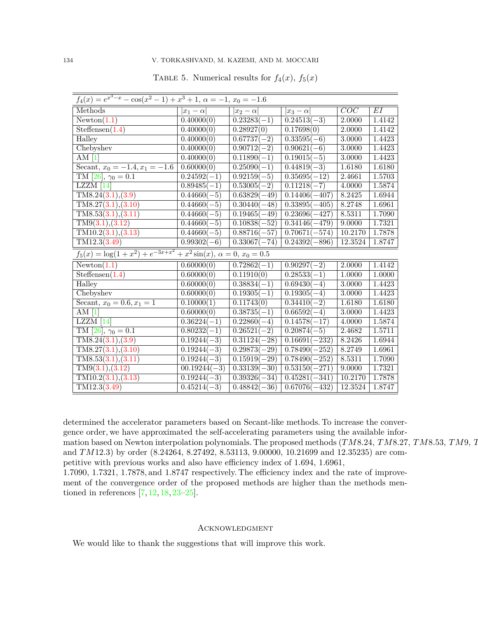## <span id="page-15-0"></span>134 V. TORKASHVAND, M. KAZEMI, AND M. MOCCARI

| $f_4(x) = e^{x^3 - x} - \cos(x^2 - 1) + x^3 + 1, \ \alpha = -1, \ x_0 = -1.6$     |                          |                           |                 |         |        |  |
|-----------------------------------------------------------------------------------|--------------------------|---------------------------|-----------------|---------|--------|--|
| Methods                                                                           | $ x_1-\alpha $           | $ x_2-\alpha $            | $ x_3-\alpha $  | COC     | EI     |  |
| $\overline{\text{Newton}(1.1)}$                                                   | 0.40000(0)               | $0.23283(-1)$             | $0.24513(-3)$   | 2.0000  | 1.4142 |  |
| Steffensen(1.4)                                                                   | 0.40000(0)               | 0.28927(0)                | 0.17698(0)      | 2.0000  | 1.4142 |  |
| Halley                                                                            | 0.40000(0)               | $0.67737(-2)$             | $0.33595(-6)$   | 3.0000  | 1.4423 |  |
| Chebyshev                                                                         | 0.40000(0)               | $0.90712(-2)$             | $0.90621(-6)$   | 3.0000  | 1.4423 |  |
| $\overline{\rm AM~[1]}$                                                           | 0.40000(0)               | $0.11890(-1)$             | $0.19015(-5)$   | 3.0000  | 1.4423 |  |
| Secant, $x_0 = -1.4, x_1 = -1.6$                                                  | 0.60000(0)               | $0.25090(-1)$             | $0.44819(-3)$   | 1.6180  | 1.6180 |  |
| TM [26], $\gamma_0 = 0.1$                                                         | $\overline{0.24592(-1)}$ | $0.92159(-5)$             | $0.35695(-12)$  | 2.4661  | 1.5703 |  |
| $LZZM$ [14]                                                                       | $0.89485(-1)$            | $0.53005(-2)$             | $0.11218(-7)$   | 4.0000  | 1.5874 |  |
| TM8.24(3.1),(3.9)                                                                 | $0.44660(-5)$            | $0.63829(-49)$            | $0.14406(-407)$ | 8.2425  | 1.6944 |  |
| TMS.27(3.1),(3.10)                                                                | $0.44660(-5)$            | $0.30440(-48)$            | $0.33895(-405)$ | 8.2748  | 1.6961 |  |
| TMS.53(3.1), (3.11)                                                               | $0.44660(-5)$            | $0.19465(-49)$            | $0.23696(-427)$ | 8.5311  | 1.7090 |  |
| TM9(3.1), (3.12)                                                                  | $0.44660(-5)$            | $0.1\overline{0838(-52)}$ | $0.34146(-479)$ | 9.0000  | 1.7321 |  |
| TM10.2(3.1),(3.13)                                                                | $0.44660(-5)$            | $0.88716(-57)$            | $0.70671(-574)$ | 10.2170 | 1.7878 |  |
| $\overline{\text{TM12.3}(3.49)}$                                                  | $0.99302(-6)$            | $\overline{0.33067(-74)}$ | $0.24392(-896)$ | 12.3524 | 1.8747 |  |
| $f_5(x) = \log(1 + x^2) + e^{-3x + x^2} + x^2 \sin(x), \ \alpha = 0, \ x_0 = 0.5$ |                          |                           |                 |         |        |  |
| Newton(1.1)                                                                       | 0.60000(0)               | $0.72862(-1)$             | $0.90297(-2)$   | 2.0000  | 1.4142 |  |
| $\overline{\text{Steffensen}(1.4)}$                                               | 0.60000(0)               | 0.11910(0)                | $0.28533(-1)$   | 1.0000  | 1.0000 |  |
| Halley                                                                            | 0.60000(0)               | $0.38834(-1)$             | $0.69430(-4)$   | 3.0000  | 1.4423 |  |
| Chebyshev                                                                         | 0.60000(0)               | $0.19305(-1)$             | $0.19305(-4)$   | 3.0000  | 1.4423 |  |
| Secant, $x_0 = 0.6, x_1 = 1$                                                      | 0.10000(1)               | 0.11743(0)                | $0.34410(-2)$   | 1.6180  | 1.6180 |  |
| AM $[1]$                                                                          | 0.60000(0)               | $0.38735(-1)$             | $0.66592(-4)$   | 3.0000  | 1.4423 |  |
| $LZZM$ [14]                                                                       | $0.36224(-1)$            | $0.22860(-4)$             | $0.14578(-17)$  | 4.0000  | 1.5874 |  |
| TM [26], $\gamma_0 = 0.1$                                                         | $0.80232(-1)$            | $0.26521(-2)$             | $0.20874(-5)$   | 2.4682  | 1.5711 |  |
| TM8.24(3.1),(3.9)                                                                 | $0.19244(-3)$            | $0.31124(-28)$            | $0.16691(-232)$ | 8.2426  | 1.6944 |  |
| TM8.27(3.1),(3.10)                                                                | $0.19244(-3)$            | $0.29873(-29)$            | $0.78490(-252)$ | 8.2749  | 1.6961 |  |
| $\overline{\text{TM8.53}(3.1),(3.11)}$                                            | $0.19244(-3)$            | $0.15919(-29)$            | $0.78490(-252)$ | 8.5311  | 1.7090 |  |
| TM9(3.1), (3.12)                                                                  | $00.19244(-3)$           | $0.33139(-30)$            | $0.53150(-271)$ | 9.0000  | 1.7321 |  |
| TM10.2(3.1),(3.13)                                                                | $0.19244(-3)$            | $0.39326(-34)$            | $0.45281(-341)$ | 10.2170 | 1.7878 |  |
| TM12.3(3.49)                                                                      | $0.45214(-3)$            | $0.\overline{48842(-36)}$ | $0.67076(-432)$ | 12.3524 | 1.8747 |  |

TABLE 5. Numerical results for  $f_4(x)$ ,  $f_5(x)$ 

determined the accelerator parameters based on Secant-like methods. To increase the convergence order, we have approximated the self-accelerating parameters using the available information based on Newton interpolation polynomials. The proposed methods (*TM*8*.*24*, TM*8*.*27*, TM*8*.*53*, TM*9*, TM*10*.*2 and *TM*12*.*3) by order (8*.*24264*,* 8*.*27492*,* 8*.*53113*,* 9*.*00000*,* 10*.*21699 and 12*.*35235) are competitive with previous works and also have efficiency index of 1*.*694*,* 1*.*6961*,* 1*.*7090*,* 1*.*7321*,* 1*.*7878, and 1*.*8747 respectively. The efficiency index and the rate of improvement of the convergence order of the proposed methods are higher than the methods mentioned in references [\[7,](#page-17-17) [12](#page-17-9), [18](#page-17-23), [23–](#page-17-21)[25](#page-17-24)].

## **ACKNOWLEDGMENT**

We would like to thank the suggestions that will improve this work.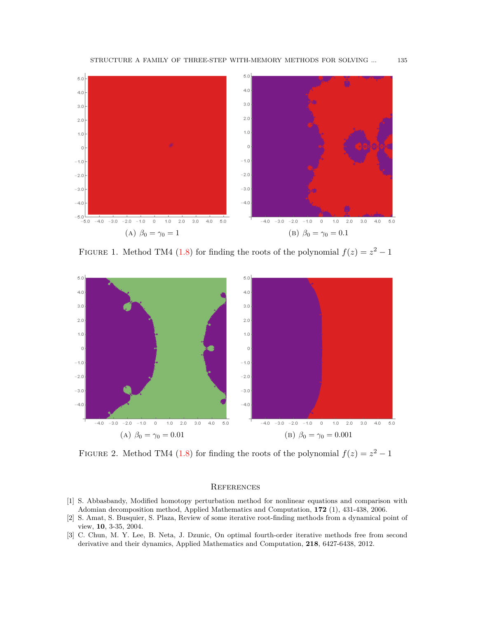

FIGURE 1. Method TM4 [\(1.8](#page-1-0)) for finding the roots of the polynomial  $f(z) = z^2 - 1$ 



FIGURE 2. Method TM4 [\(1.8](#page-1-0)) for finding the roots of the polynomial  $f(z) = z^2 - 1$ 

#### **REFERENCES**

- <span id="page-16-1"></span>[1] S. Abbasbandy, Modified homotopy perturbation method for nonlinear equations and comparison with Adomian decomposition method, Applied Mathematics and Computation, **172** (1), 431-438, 2006.
- <span id="page-16-2"></span>[2] S. Amat, S. Busquier, S. Plaza, Review of some iterative root-finding methods from a dynamical point of view, **10**, 3-35, 2004.
- <span id="page-16-0"></span>[3] C. Chun, M. Y. Lee, B. Neta, J. Dzunic, On optimal fourth-order iterative methods free from second derivative and their dynamics, Applied Mathematics and Computation, **218**, 6427-6438, 2012.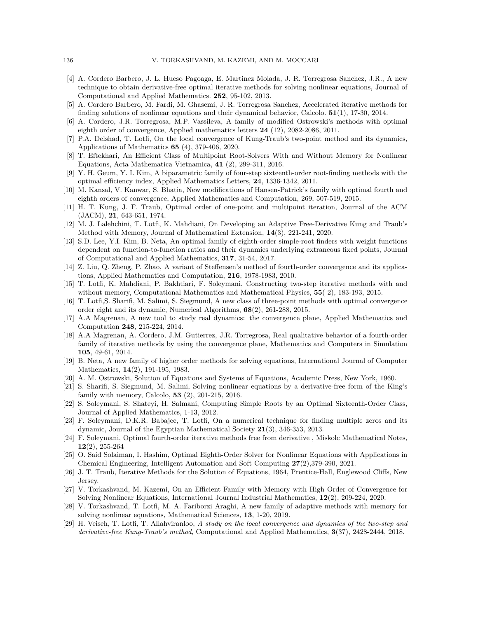- <span id="page-17-5"></span>[4] A. Cordero Barbero, J. L. Hueso Pagoaga, E. Martinez Molada, J. R. Torregrosa Sanchez, J.R., A new technique to obtain derivative-free optimal iterative methods for solving nonlinear equations, Journal of Computational and Applied Mathematics. **252**, 95-102, 2013.
- <span id="page-17-6"></span>[5] A. Cordero Barbero, M. Fardi, M. Ghasemi, J. R. Torregrosa Sanchez, Accelerated iterative methods for finding solutions of nonlinear equations and their dynamical behavior, Calcolo. **51**(1), 17-30, 2014.
- <span id="page-17-15"></span>[6] A. Cordero, J.R. Torregrosa, M.P. Vassileva, A family of modified Ostrowski's methods with optimal eighth order of convergence, Applied mathematics letters **24** (12), 2082-2086, 2011.
- <span id="page-17-17"></span>[7] P.A. Delshad, T. Lotfi, On the local convergence of Kung-Traub's two-point method and its dynamics, Applications of Mathematics **65** (4), 379-406, 2020.
- <span id="page-17-14"></span>[8] T. Eftekhari, An Efficient Class of Multipoint Root-Solvers With and Without Memory for Nonlinear Equations, Acta Mathematica Vietnamica, **41** (2), 299-311, 2016.
- <span id="page-17-3"></span>[9] Y. H. Geum, Y. I. Kim, A biparametric family of four-step sixteenth-order root-finding methods with the optimal efficiency index, Applied Mathematics Letters, **24**, 1336-1342, 2011.
- <span id="page-17-4"></span>[10] M. Kansal, V. Kanwar, S. Bhatia, New modifications of Hansen-Patrick's family with optimal fourth and eighth orders of convergence, Applied Mathematics and Computation, 269, 507-519, 2015.
- <span id="page-17-1"></span>[11] H. T. Kung, J. F. Traub, Optimal order of one-point and multipoint iteration, Journal of the ACM (JACM), **21**, 643-651, 1974.
- <span id="page-17-9"></span>[12] M. J. Lalehchini, T. Lotfi, K. Mahdiani, On Developing an Adaptive Free-Derivative Kung and Traub's Method with Memory, Journal of Mathematical Extension, **14**(3), 221-241, 2020.
- <span id="page-17-18"></span>[13] S.D. Lee, Y.I. Kim, B. Neta, An optimal family of eighth-order simple-root finders with weight functions dependent on function-to-function ratios and their dynamics underlying extraneous fixed points, Journal of Computational and Applied Mathematics, **317**, 31-54, 2017.
- <span id="page-17-8"></span>[14] Z. Liu, Q. Zheng, P. Zhao, A variant of Steffensen's method of fourth-order convergence and its applications, Applied Mathematics and Computation, **216**, 1978-1983, 2010.
- <span id="page-17-16"></span>[15] T. Lotfi, K. Mahdiani, P. Bakhtiari, F. Soleymani, Constructing two-step iterative methods with and without memory, Computational Mathematics and Mathematical Physics, **55**( 2), 183-193, 2015.
- <span id="page-17-19"></span>[16] T. Lotfi,S. Sharifi, M. Salimi, S. Siegmund, A new class of three-point methods with optimal convergence order eight and its dynamic, Numerical Algorithms, **68**(2), 261-288, 2015.
- <span id="page-17-20"></span>[17] A.A Magrenan, A new tool to study real dynamics: the convergence plane, Applied Mathematics and Computation **248**, 215-224, 2014.
- <span id="page-17-23"></span>[18] A.A Magrenan, A. Cordero, J.M. Gutierrez, J.R. Torregrosa, Real qualitative behavior of a fourth-order family of iterative methods by using the convergence plane, Mathematics and Computers in Simulation **105**, 49-61, 2014.
- <span id="page-17-2"></span>[19] B. Neta, A new family of higher order methods for solving equations, International Journal of Computer Mathematics, **14**(2), 191-195, 1983.
- <span id="page-17-0"></span>[20] A. M. Ostrowski, Solution of Equations and Systems of Equations, Academic Press, New York, 1960.
- <span id="page-17-13"></span>[21] S. Sharifi, S. Siegmund, M. Salimi, Solving nonlinear equations by a derivative-free form of the King's family with memory, Calcolo, **53** (2), 201-215, 2016.
- <span id="page-17-7"></span>[22] S. Soleymani, S. Shateyi, H. Salmani, Computing Simple Roots by an Optimal Sixteenth-Order Class, Journal of Applied Mathematics, 1-13, 2012.
- <span id="page-17-21"></span>[23] F. Soleymani, D.K.R. Babajee, T. Lotfi, On a numerical technique for finding multiple zeros and its dynamic, Journal of the Egyptian Mathematical Society **21**(3), 346-353, 2013.
- [24] F. Soleymani, Optimal fourth-order iterative methods free from derivative , Miskolc Mathematical Notes, **12**(2), 255-264
- <span id="page-17-24"></span>[25] O. Said Solaiman, I. Hashim, Optimal Eighth-Order Solver for Nonlinear Equations with Applications in Chemical Engineering, Intelligent Automation and Soft Computing **27**(2),379-390, 2021.
- <span id="page-17-12"></span>[26] J. T. Traub, Iterative Methods for the Solution of Equations, 1964, Prentice-Hall, Englewood Cliffs, New Jersey.
- <span id="page-17-10"></span>[27] V. Torkashvand, M. Kazemi, On an Efficient Family with Memory with High Order of Convergence for Solving Nonlinear Equations, International Journal Industrial Mathematics, **12**(2), 209-224, 2020.
- <span id="page-17-11"></span>[28] V. Torkashvand, T. Lotfi, M. A. Fariborzi Araghi, A new family of adaptive methods with memory for solving nonlinear equations, Mathematical Sciences, **13**, 1-20, 2019.
- <span id="page-17-22"></span>[29] H. Veiseh, T. Lotfi, T. Allahviranloo, *A study on the local convergence and dynamics of the two-step and derivative-free Kung-Traub's method*, Computational and Applied Mathematics, **3**(37), 2428-2444, 2018.